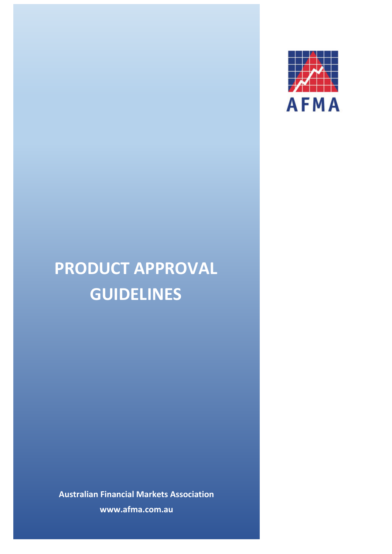

# **PRODUCT APPROVAL GUIDELINES**

**Australian Financial Markets Association www.afma.com.au**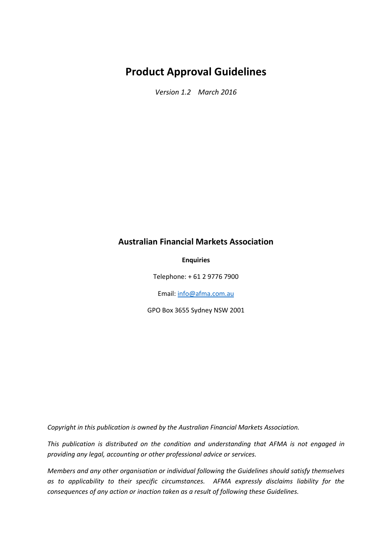## **Product Approval Guidelines**

*Version 1.2 March 2016*

### **Australian Financial Markets Association**

#### **Enquiries**

Telephone: + 61 2 9776 7900

Email[: info@afma.com.au](mailto:info@afma.com.au)

GPO Box 3655 Sydney NSW 2001

*Copyright in this publication is owned by the Australian Financial Markets Association.*

*This publication is distributed on the condition and understanding that AFMA is not engaged in providing any legal, accounting or other professional advice or services.*

*Members and any other organisation or individual following the Guidelines should satisfy themselves as to applicability to their specific circumstances. AFMA expressly disclaims liability for the consequences of any action or inaction taken as a result of following these Guidelines.*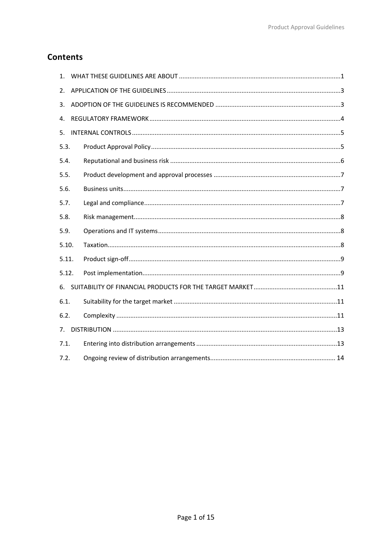## **Contents**

| $1_{-}$ |  |
|---------|--|
| 2.      |  |
| 3.      |  |
| 4.      |  |
| 5.      |  |
| 5.3.    |  |
| 5.4.    |  |
| 5.5.    |  |
| 5.6.    |  |
| 5.7.    |  |
| 5.8.    |  |
| 5.9.    |  |
| 5.10.   |  |
| 5.11.   |  |
| 5.12.   |  |
| 6.      |  |
| 6.1.    |  |
| 6.2.    |  |
| 7.      |  |
| 7.1.    |  |
| 7.2.    |  |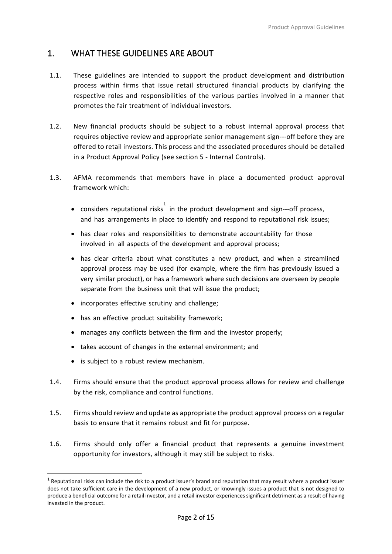## <span id="page-3-0"></span>1. WHAT THESE GUIDELINES ARE ABOUT

- 1.1. These guidelines are intended to support the product development and distribution process within firms that issue retail structured financial products by clarifying the respective roles and responsibilities of the various parties involved in a manner that promotes the fair treatment of individual investors.
- 1.2. New financial products should be subject to a robust internal approval process that requires objective review and appropriate senior management sign---off before they are offered to retail investors. This process and the associated procedures should be detailed in a Product Approval Policy (see section 5 - Internal Controls).
- 1.3. AFMA recommends that members have in place a documented product approval framework which:
	- considers reputational risks in the product development and sign---off process, and has arrangements in place to identify and respond to reputational risk issues;
	- has clear roles and responsibilities to demonstrate accountability for those involved in all aspects of the development and approval process;
	- has clear criteria about what constitutes a new product, and when a streamlined approval process may be used (for example, where the firm has previously issued a very similar product), or has a framework where such decisions are overseen by people separate from the business unit that will issue the product;
	- incorporates effective scrutiny and challenge;
	- has an effective product suitability framework;
	- manages any conflicts between the firm and the investor properly;
	- takes account of changes in the external environment; and
	- is subject to a robust review mechanism.

 $\overline{a}$ 

- 1.4. Firms should ensure that the product approval process allows for review and challenge by the risk, compliance and control functions.
- 1.5. Firms should review and update as appropriate the product approval process on a regular basis to ensure that it remains robust and fit for purpose.
- 1.6. Firms should only offer a financial product that represents a genuine investment opportunity for investors, although it may still be subject to risks.

<span id="page-3-1"></span> $1$  Reputational risks can include the risk to a product issuer's brand and reputation that may result where a product issuer does not take sufficient care in the development of a new product, or knowingly issues a product that is not designed to produce a beneficial outcome for a retail investor, and a retail investor experiences significant detriment as a result of having invested in the product.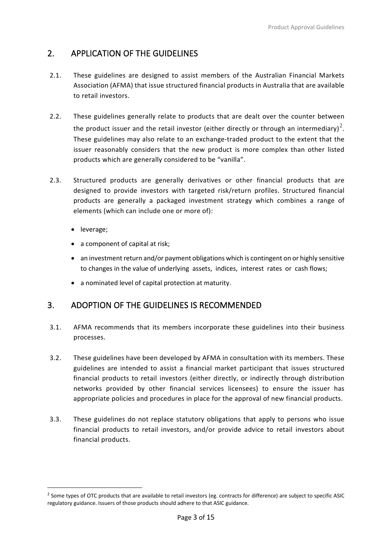## <span id="page-4-0"></span>2. APPLICATION OF THE GUIDELINES

- 2.1. These guidelines are designed to assist members of the Australian Financial Markets Association (AFMA) that issue structured financial products in Australia that are available to retail investors.
- 2.2. These guidelines generally relate to products that are dealt over the counter between the product issuer and the retail investor (either directly or through an intermediary)<sup>[2](#page-4-2)</sup>. These guidelines may also relate to an exchange‐traded product to the extent that the issuer reasonably considers that the new product is more complex than other listed products which are generally considered to be "vanilla".
- 2.3. Structured products are generally derivatives or other financial products that are designed to provide investors with targeted risk/return profiles. Structured financial products are generally a packaged investment strategy which combines a range of elements (which can include one or more of):
	- leverage;

**.** 

- a component of capital at risk;
- an investment return and/or payment obligations which is contingent on or highly sensitive to changes in the value of underlying assets, indices, interest rates or cash flows;
- a nominated level of capital protection at maturity.

## <span id="page-4-1"></span>3. ADOPTION OF THE GUIDELINES IS RECOMMENDED

- 3.1. AFMA recommends that its members incorporate these guidelines into their business processes.
- 3.2. These guidelines have been developed by AFMA in consultation with its members. These guidelines are intended to assist a financial market participant that issues structured financial products to retail investors (either directly, or indirectly through distribution networks provided by other financial services licensees) to ensure the issuer has appropriate policies and procedures in place for the approval of new financial products.
- 3.3. These guidelines do not replace statutory obligations that apply to persons who issue financial products to retail investors, and/or provide advice to retail investors about financial products.

<span id="page-4-2"></span><sup>&</sup>lt;sup>2</sup> Some types of OTC products that are available to retail investors (eg. contracts for difference) are subject to specific ASIC regulatory guidance. Issuers of those products should adhere to that ASIC guidance.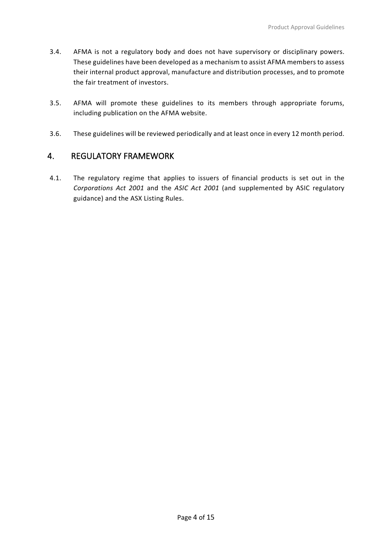- 3.4. AFMA is not a regulatory body and does not have supervisory or disciplinary powers. These guidelines have been developed as a mechanism to assist AFMA members to assess their internal product approval, manufacture and distribution processes, and to promote the fair treatment of investors.
- 3.5. AFMA will promote these guidelines to its members through appropriate forums, including publication on the AFMA website.
- 3.6. These guidelines will be reviewed periodically and at least once in every 12 month period.

## <span id="page-5-0"></span>4. REGULATORY FRAMEWORK

<span id="page-5-1"></span>4.1. The regulatory regime that applies to issuers of financial products is set out in the *Corporations Act 2001* and the *ASIC Act 2001* (and supplemented by ASIC regulatory guidance) and the ASX Listing Rules.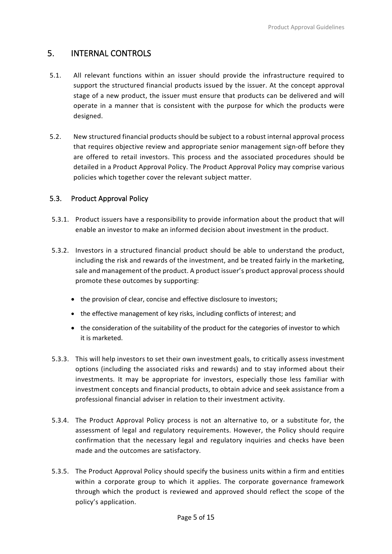## 5. INTERNAL CONTROLS

- 5.1. All relevant functions within an issuer should provide the infrastructure required to support the structured financial products issued by the issuer. At the concept approval stage of a new product, the issuer must ensure that products can be delivered and will operate in a manner that is consistent with the purpose for which the products were designed.
- 5.2. New structured financial products should be subject to a robust internal approval process that requires objective review and appropriate senior management sign‐off before they are offered to retail investors. This process and the associated procedures should be detailed in a Product Approval Policy. The Product Approval Policy may comprise various policies which together cover the relevant subject matter.

#### <span id="page-6-0"></span>5.3. Product Approval Policy

- 5.3.1. Product issuers have a responsibility to provide information about the product that will enable an investor to make an informed decision about investment in the product.
- 5.3.2. Investors in a structured financial product should be able to understand the product, including the risk and rewards of the investment, and be treated fairly in the marketing, sale and management of the product. A product issuer's product approval process should promote these outcomes by supporting:
	- the provision of clear, concise and effective disclosure to investors;
	- the effective management of key risks, including conflicts of interest; and
	- the consideration of the suitability of the product for the categories of investor to which it is marketed.
- 5.3.3. This will help investors to set their own investment goals, to critically assess investment options (including the associated risks and rewards) and to stay informed about their investments. It may be appropriate for investors, especially those less familiar with investment concepts and financial products, to obtain advice and seek assistance from a professional financial adviser in relation to their investment activity.
- 5.3.4. The Product Approval Policy process is not an alternative to, or a substitute for, the assessment of legal and regulatory requirements. However, the Policy should require confirmation that the necessary legal and regulatory inquiries and checks have been made and the outcomes are satisfactory.
- 5.3.5. The Product Approval Policy should specify the business units within a firm and entities within a corporate group to which it applies. The corporate governance framework through which the product is reviewed and approved should reflect the scope of the policy's application.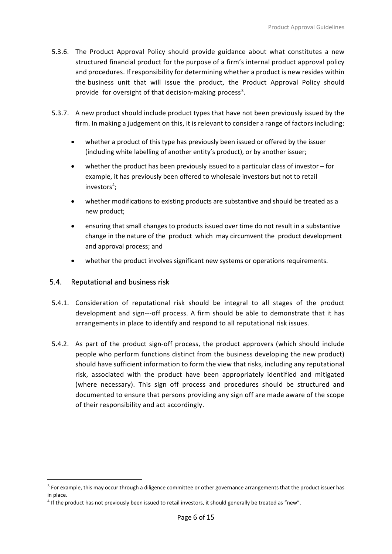- 5.3.6. The Product Approval Policy should provide guidance about what constitutes a new structured financial product for the purpose of a firm's internal product approval policy and procedures. If responsibility for determining whether a product is new resides within the business unit that will issue the product, the Product Approval Policy should provide for oversight of that decision-making process<sup>[3](#page-7-1)</sup>.
- 5.3.7. A new product should include product types that have not been previously issued by the firm. In making a judgement on this, it is relevant to consider a range of factors including:
	- whether a product of this type has previously been issued or offered by the issuer (including white labelling of another entity's product), or by another issuer;
	- whether the product has been previously issued to a particular class of investor for example, it has previously been offered to wholesale investors but not to retail investors<sup>[4](#page-7-2)</sup>;
	- whether modifications to existing products are substantive and should be treated as a new product;
	- ensuring that small changes to products issued over time do not result in a substantive change in the nature of the product which may circumvent the product development and approval process; and
	- whether the product involves significant new systems or operations requirements.

#### <span id="page-7-0"></span>5.4. Reputational and business risk

 $\overline{a}$ 

- 5.4.1. Consideration of reputational risk should be integral to all stages of the product development and sign-‐‐off process. A firm should be able to demonstrate that it has arrangements in place to identify and respond to all reputational risk issues.
- 5.4.2. As part of the product sign-off process, the product approvers (which should include people who perform functions distinct from the business developing the new product) should have sufficient information to form the view that risks, including any reputational risk, associated with the product have been appropriately identified and mitigated (where necessary). This sign off process and procedures should be structured and documented to ensure that persons providing any sign off are made aware of the scope of their responsibility and act accordingly.

<span id="page-7-1"></span> $3$  For example, this may occur through a diligence committee or other governance arrangements that the product issuer has in place.

<span id="page-7-2"></span> $4$  If the product has not previously been issued to retail investors, it should generally be treated as "new".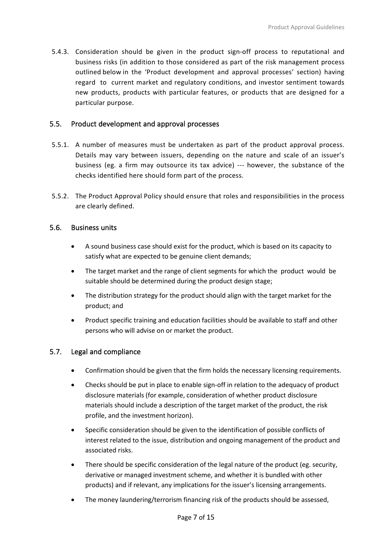5.4.3. Consideration should be given in the product sign-off process to reputational and business risks (in addition to those considered as part of the risk management process outlined below in the 'Product development and approval processes' section) having regard to current market and regulatory conditions, and investor sentiment towards new products, products with particular features, or products that are designed for a particular purpose.

#### <span id="page-8-0"></span>5.5. Product development and approval processes

- 5.5.1. A number of measures must be undertaken as part of the product approval process. Details may vary between issuers, depending on the nature and scale of an issuer's business (eg. a firm may outsource its tax advice) -‐‐ however, the substance of the checks identified here should form part of the process.
- 5.5.2. The Product Approval Policy should ensure that roles and responsibilities in the process are clearly defined.

#### <span id="page-8-1"></span>5.6. Business units

- A sound business case should exist for the product, which is based on its capacity to satisfy what are expected to be genuine client demands;
- The target market and the range of client segments for which the product would be suitable should be determined during the product design stage;
- The distribution strategy for the product should align with the target market for the product; and
- Product specific training and education facilities should be available to staff and other persons who will advise on or market the product.

#### <span id="page-8-2"></span>5.7. Legal and compliance

- Confirmation should be given that the firm holds the necessary licensing requirements.
- Checks should be put in place to enable sign‐off in relation to the adequacy of product disclosure materials (for example, consideration of whether product disclosure materials should include a description of the target market of the product, the risk profile, and the investment horizon).
- Specific consideration should be given to the identification of possible conflicts of interest related to the issue, distribution and ongoing management of the product and associated risks.
- There should be specific consideration of the legal nature of the product (eg. security, derivative or managed investment scheme, and whether it is bundled with other products) and if relevant, any implications for the issuer's licensing arrangements.
- The money laundering/terrorism financing risk of the products should be assessed,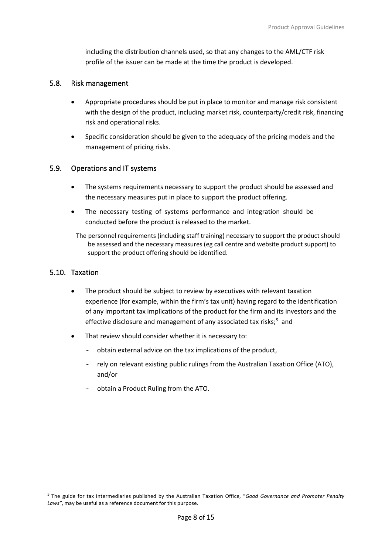including the distribution channels used, so that any changes to the AML/CTF risk profile of the issuer can be made at the time the product is developed.

#### <span id="page-9-0"></span>5.8. Risk management

- Appropriate procedures should be put in place to monitor and manage risk consistent with the design of the product, including market risk, counterparty/credit risk, financing risk and operational risks.
- Specific consideration should be given to the adequacy of the pricing models and the management of pricing risks.

#### <span id="page-9-1"></span>5.9. Operations and IT systems

- The systems requirements necessary to support the product should be assessed and the necessary measures put in place to support the product offering.
- The necessary testing of systems performance and integration should be conducted before the product is released to the market.

<span id="page-9-2"></span>The personnel requirements (including staff training) necessary to support the product should be assessed and the necessary measures (eg call centre and website product support) to support the product offering should be identified.

#### 5.10. Taxation

**.** 

- The product should be subject to review by executives with relevant taxation experience (for example, within the firm's tax unit) having regard to the identification of any important tax implications of the product for the firm and its investors and the effective disclosure and management of any associated tax risks;<sup>[5](#page-9-3)</sup> and
- That review should consider whether it is necessary to:
	- obtain external advice on the tax implications of the product,
	- rely on relevant existing public rulings from the Australian Taxation Office (ATO), and/or
	- obtain a Product Ruling from the ATO.

<span id="page-9-3"></span><sup>5</sup> The guide for tax intermediaries published by the Australian Taxation Office, "*Good Governance and Promoter Penalty Laws"*, may be useful as a reference document for this purpose.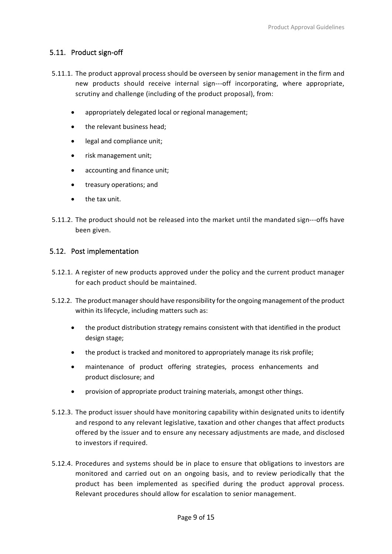#### <span id="page-10-0"></span>5.11. Product sign-off

- 5.11.1. The product approval process should be overseen by senior management in the firm and new products should receive internal sign-‐‐off incorporating, where appropriate, scrutiny and challenge (including of the product proposal), from:
	- appropriately delegated local or regional management;
	- the relevant business head;
	- legal and compliance unit;
	- risk management unit;
	- accounting and finance unit;
	- treasury operations; and
	- the tax unit.
- 5.11.2. The product should not be released into the market until the mandated sign-‐‐offs have been given.

#### <span id="page-10-1"></span>5.12. Post implementation

- 5.12.1. A register of new products approved under the policy and the current product manager for each product should be maintained.
- 5.12.2. The product manager should have responsibility for the ongoing management of the product within its lifecycle, including matters such as:
	- the product distribution strategy remains consistent with that identified in the product design stage;
	- the product is tracked and monitored to appropriately manage its risk profile;
	- maintenance of product offering strategies, process enhancements and product disclosure; and
	- provision of appropriate product training materials, amongst other things.
- 5.12.3. The product issuer should have monitoring capability within designated units to identify and respond to any relevant legislative, taxation and other changes that affect products offered by the issuer and to ensure any necessary adjustments are made, and disclosed to investors if required.
- 5.12.4. Procedures and systems should be in place to ensure that obligations to investors are monitored and carried out on an ongoing basis, and to review periodically that the product has been implemented as specified during the product approval process. Relevant procedures should allow for escalation to senior management.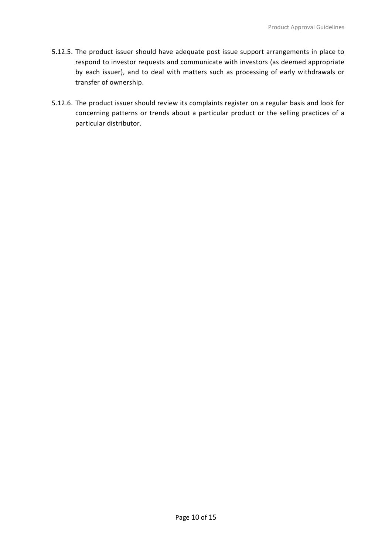- 5.12.5. The product issuer should have adequate post issue support arrangements in place to respond to investor requests and communicate with investors (as deemed appropriate by each issuer), and to deal with matters such as processing of early withdrawals or transfer of ownership.
- <span id="page-11-0"></span>5.12.6. The product issuer should review its complaints register on a regular basis and look for concerning patterns or trends about a particular product or the selling practices of a particular distributor.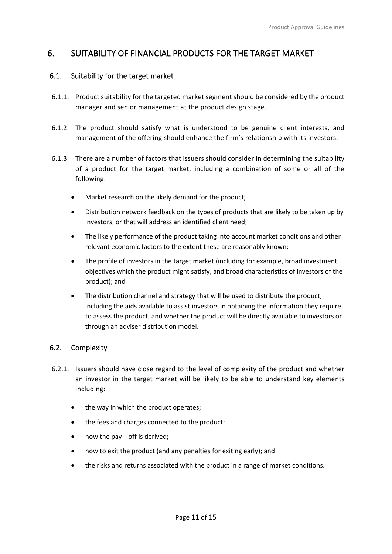## 6. SUITABILITY OF FINANCIAL PRODUCTS FOR THE TARGET MARKET

#### <span id="page-12-0"></span>6.1. Suitability for the target market

- 6.1.1. Product suitability for the targeted market segment should be considered by the product manager and senior management at the product design stage.
- 6.1.2. The product should satisfy what is understood to be genuine client interests, and management of the offering should enhance the firm's relationship with its investors.
- 6.1.3. There are a number of factors that issuers should consider in determining the suitability of a product for the target market, including a combination of some or all of the following:
	- Market research on the likely demand for the product;
	- Distribution network feedback on the types of products that are likely to be taken up by investors, or that will address an identified client need;
	- The likely performance of the product taking into account market conditions and other relevant economic factors to the extent these are reasonably known;
	- The profile of investors in the target market (including for example, broad investment objectives which the product might satisfy, and broad characteristics of investors of the product); and
	- The distribution channel and strategy that will be used to distribute the product, including the aids available to assist investors in obtaining the information they require to assess the product, and whether the product will be directly available to investors or through an adviser distribution model.

#### <span id="page-12-1"></span>6.2. Complexity

- 6.2.1. Issuers should have close regard to the level of complexity of the product and whether an investor in the target market will be likely to be able to understand key elements including:
	- the way in which the product operates;
	- the fees and charges connected to the product;
	- how the pay---off is derived;
	- how to exit the product (and any penalties for exiting early); and
	- the risks and returns associated with the product in a range of market conditions.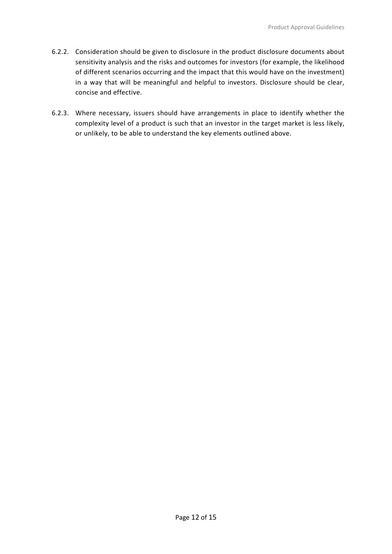- 6.2.2. Consideration should be given to disclosure in the product disclosure documents about sensitivity analysis and the risks and outcomes for investors (for example, the likelihood of different scenarios occurring and the impact that this would have on the investment) in a way that will be meaningful and helpful to investors. Disclosure should be clear, concise and effective.
- <span id="page-13-0"></span>6.2.3. Where necessary, issuers should have arrangements in place to identify whether the complexity level of a product is such that an investor in the target market is less likely, or unlikely, to be able to understand the key elements outlined above.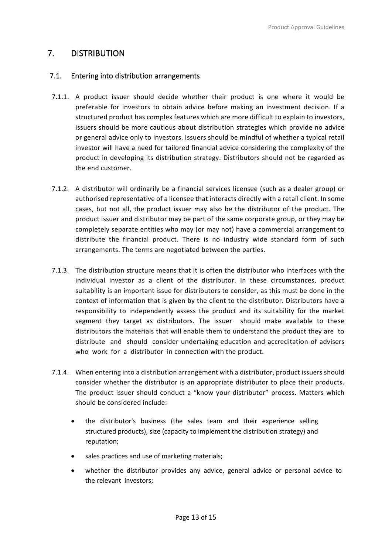## 7. DISTRIBUTION

#### <span id="page-14-0"></span>7.1. Entering into distribution arrangements

- 7.1.1. A product issuer should decide whether their product is one where it would be preferable for investors to obtain advice before making an investment decision. If a structured product has complex features which are more difficult to explain to investors, issuers should be more cautious about distribution strategies which provide no advice or general advice only to investors. Issuers should be mindful of whether a typical retail investor will have a need for tailored financial advice considering the complexity of the product in developing its distribution strategy. Distributors should not be regarded as the end customer.
- 7.1.2. A distributor will ordinarily be a financial services licensee (such as a dealer group) or authorised representative of a licensee that interacts directly with a retail client. In some cases, but not all, the product issuer may also be the distributor of the product. The product issuer and distributor may be part of the same corporate group, or they may be completely separate entities who may (or may not) have a commercial arrangement to distribute the financial product. There is no industry wide standard form of such arrangements. The terms are negotiated between the parties.
- 7.1.3. The distribution structure means that it is often the distributor who interfaces with the individual investor as a client of the distributor. In these circumstances, product suitability is an important issue for distributors to consider, as this must be done in the context of information that is given by the client to the distributor. Distributors have a responsibility to independently assess the product and its suitability for the market segment they target as distributors. The issuer should make available to these distributors the materials that will enable them to understand the product they are to distribute and should consider undertaking education and accreditation of advisers who work for a distributor in connection with the product.
- 7.1.4. When entering into a distribution arrangement with a distributor, product issuers should consider whether the distributor is an appropriate distributor to place their products. The product issuer should conduct a "know your distributor" process. Matters which should be considered include:
	- the distributor's business (the sales team and their experience selling structured products), size (capacity to implement the distribution strategy) and reputation;
	- sales practices and use of marketing materials;
	- whether the distributor provides any advice, general advice or personal advice to the relevant investors;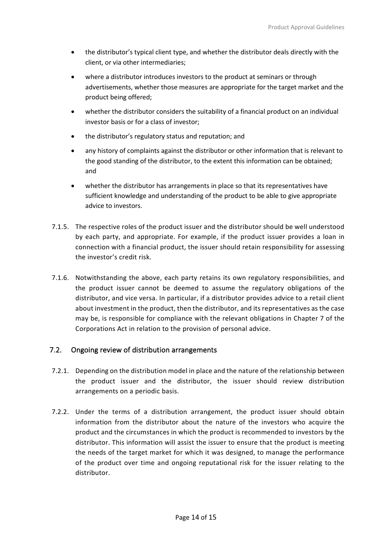- the distributor's typical client type, and whether the distributor deals directly with the client, or via other intermediaries;
- where a distributor introduces investors to the product at seminars or through advertisements, whether those measures are appropriate for the target market and the product being offered;
- whether the distributor considers the suitability of a financial product on an individual investor basis or for a class of investor;
- the distributor's regulatory status and reputation; and
- any history of complaints against the distributor or other information that is relevant to the good standing of the distributor, to the extent this information can be obtained; and
- whether the distributor has arrangements in place so that its representatives have sufficient knowledge and understanding of the product to be able to give appropriate advice to investors.
- 7.1.5. The respective roles of the product issuer and the distributor should be well understood by each party, and appropriate. For example, if the product issuer provides a loan in connection with a financial product, the issuer should retain responsibility for assessing the investor's credit risk.
- 7.1.6. Notwithstanding the above, each party retains its own regulatory responsibilities, and the product issuer cannot be deemed to assume the regulatory obligations of the distributor, and vice versa. In particular, if a distributor provides advice to a retail client about investment in the product, then the distributor, and its representatives as the case may be, is responsible for compliance with the relevant obligations in Chapter 7 of the Corporations Act in relation to the provision of personal advice.

#### <span id="page-15-0"></span>7.2. Ongoing review of distribution arrangements

- 7.2.1. Depending on the distribution model in place and the nature of the relationship between the product issuer and the distributor, the issuer should review distribution arrangements on a periodic basis.
- 7.2.2. Under the terms of a distribution arrangement, the product issuer should obtain information from the distributor about the nature of the investors who acquire the product and the circumstances in which the product is recommended to investors by the distributor. This information will assist the issuer to ensure that the product is meeting the needs of the target market for which it was designed, to manage the performance of the product over time and ongoing reputational risk for the issuer relating to the distributor.